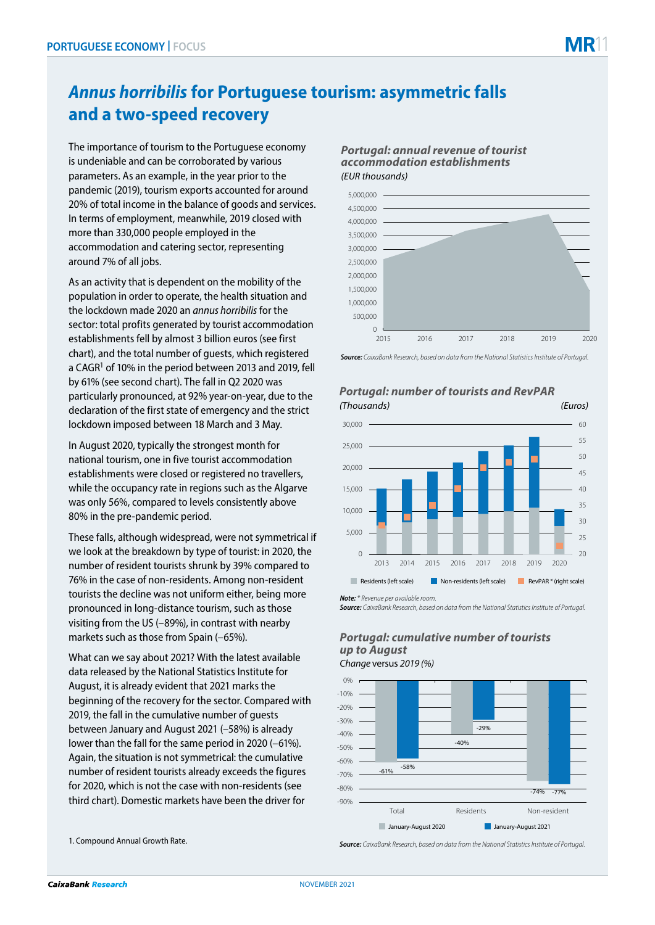# *Annus horribilis* **for Portuguese tourism: asymmetric falls and a two-speed recovery**

The importance of tourism to the Portuguese economy is undeniable and can be corroborated by various parameters. As an example, in the year prior to the pandemic (2019), tourism exports accounted for around 20% of total income in the balance of goods and services. In terms of employment, meanwhile, 2019 closed with more than 330,000 people employed in the accommodation and catering sector, representing around 7% of all jobs.

As an activity that is dependent on the mobility of the population in order to operate, the health situation and the lockdown made 2020 an *annus horribilis* for the sector: total profits generated by tourist accommodation establishments fell by almost 3 billion euros (see first chart), and the total number of guests, which registered a CAGR<sup>1</sup> of 10% in the period between 2013 and 2019, fell by 61% (see second chart). The fall in Q2 2020 was particularly pronounced, at 92% year-on-year, due to the declaration of the first state of emergency and the strict lockdown imposed between 18 March and 3 May.

In August 2020, typically the strongest month for national tourism, one in five tourist accommodation establishments were closed or registered no travellers, while the occupancy rate in regions such as the Algarve was only 56%, compared to levels consistently above 80% in the pre-pandemic period.

These falls, although widespread, were not symmetrical if we look at the breakdown by type of tourist: in 2020, the number of resident tourists shrunk by 39% compared to 76% in the case of non-residents. Among non-resident tourists the decline was not uniform either, being more pronounced in long-distance tourism, such as those visiting from the US (–89%), in contrast with nearby markets such as those from Spain (–65%).

What can we say about 2021? With the latest available data released by the National Statistics Institute for August, it is already evident that 2021 marks the beginning of the recovery for the sector. Compared with 2019, the fall in the cumulative number of guests between January and August 2021 (–58%) is already lower than the fall for the same period in 2020 (–61%). Again, the situation is not symmetrical: the cumulative number of resident tourists already exceeds the figures for 2020, which is not the case with non-residents (see third chart). Domestic markets have been the driver for





*Source: CaixaBank Research, based on data from the National Statistics Institute of Portugal.*



## *Portugal: number of tourists and RevPAR*

*Note: \* Revenue per available room.*

*Source: CaixaBank Research, based on data from the National Statistics Institute of Portugal.*

### *Portugal: cumulative number of tourists up to August*



1. Compound Annual Growth Rate.

*Source: CaixaBank Research, based on data from the National Statistics Institute of Portugal.*